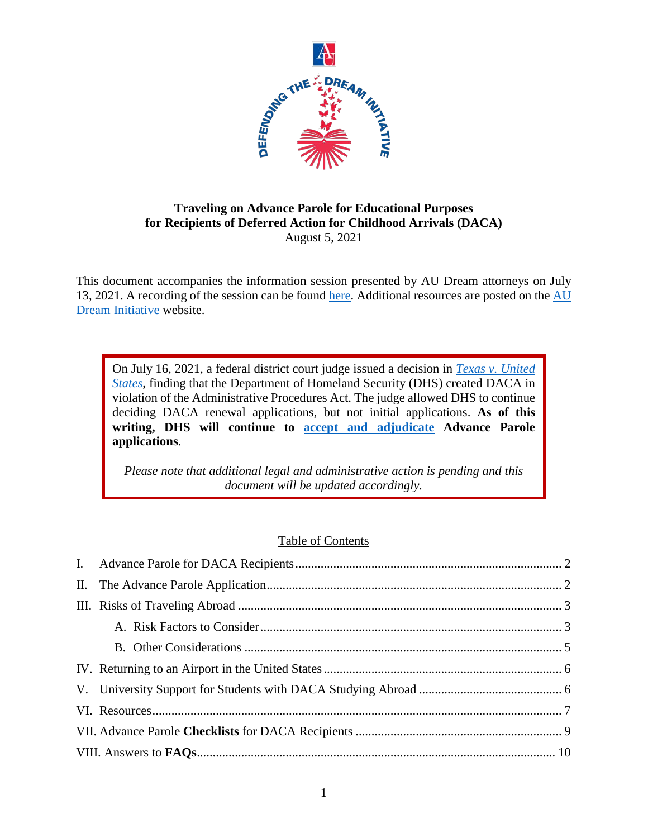

## **Traveling on Advance Parole for Educational Purposes for Recipients of Deferred Action for Childhood Arrivals (DACA)** August 5, 2021

This document accompanies the information session presented by AU Dream attorneys on July 13, 2021. A recording of the session can be found [here.](https://media.wcl.american.edu/Mediasite/Play/19c84dd51273433fb5eaa0d473ea97aa1d) Additional resources are posted on the [AU](https://www.wcl.american.edu/academics/experientialedu/clinical/theclinics/ijc/audream/resources/)  [Dream Initiative](https://www.wcl.american.edu/academics/experientialedu/clinical/theclinics/ijc/audream/resources/) website.

On July 16, 2021, a federal district court judge issued a decision in *[Texas v. United](https://www.courtlistener.com/docket/6382288/state-of-texas-v-united-states-of-america/)  [States](https://www.courtlistener.com/docket/6382288/state-of-texas-v-united-states-of-america/)*, finding that the Department of Homeland Security (DHS) created DACA in violation of the Administrative Procedures Act. The judge allowed DHS to continue deciding DACA renewal applications, but not initial applications. **As of this writing, DHS will continue to [accept and adjudicate](https://www.uscis.gov/news/news-releases/statement-from-uscis-acting-director-tracy-renaud-on-deferred-action-for-childhood-arrivals-daca) Advance Parole applications**.

*Please note that additional legal and administrative action is pending and this document will be updated accordingly.* 

## Table of Contents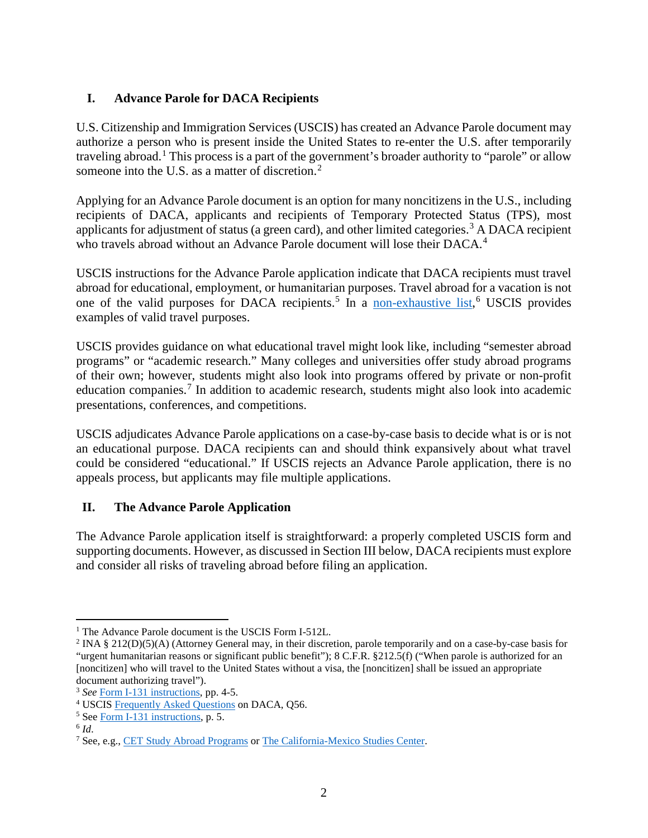# <span id="page-1-0"></span>**I. Advance Parole for DACA Recipients**

U.S. Citizenship and Immigration Services (USCIS) has created an Advance Parole document may authorize a person who is present inside the United States to re-enter the U.S. after temporarily traveling abroad.<sup>[1](#page-1-2)</sup> This process is a part of the government's broader authority to "parole" or allow someone into the U.S. as a matter of discretion.<sup>[2](#page-1-3)</sup>

Applying for an Advance Parole document is an option for many noncitizens in the U.S., including recipients of DACA, applicants and recipients of Temporary Protected Status (TPS), most applicants for adjustment of status (a green card), and other limited categories.<sup>[3](#page-1-4)</sup> A DACA recipient who travels abroad without an Advance Parole document will lose their DACA.<sup>[4](#page-1-5)</sup>

USCIS instructions for the Advance Parole application indicate that DACA recipients must travel abroad for educational, employment, or humanitarian purposes. Travel abroad for a vacation is not one of the valid purposes for DACA recipients.<sup>[5](#page-1-6)</sup> In a [non-exhaustive list,](https://www.uscis.gov/sites/default/files/document/forms/i-131instr.pdf)<sup>[6](#page-1-7)</sup> USCIS provides examples of valid travel purposes.

USCIS provides guidance on what educational travel might look like, including "semester abroad programs" or "academic research." Many colleges and universities offer study abroad programs of their own; however, students might also look into programs offered by private or non-profit education companies.<sup>[7](#page-1-8)</sup> In addition to academic research, students might also look into academic presentations, conferences, and competitions.

USCIS adjudicates Advance Parole applications on a case-by-case basis to decide what is or is not an educational purpose. DACA recipients can and should think expansively about what travel could be considered "educational." If USCIS rejects an Advance Parole application, there is no appeals process, but applicants may file multiple applications.

## <span id="page-1-1"></span>**II. The Advance Parole Application**

The Advance Parole application itself is straightforward: a properly completed USCIS form and supporting documents. However, as discussed in Section III below, DACA recipients must explore and consider all risks of traveling abroad before filing an application.

<span id="page-1-3"></span><span id="page-1-2"></span><sup>&</sup>lt;sup>1</sup> The Advance Parole document is the USCIS Form I-512L.<br><sup>2</sup> INA § 212(D)(5)(A) (Attorney General may, in their discretion, parole temporarily and on a case-by-case basis for "urgent humanitarian reasons or significant public benefit"); 8 C.F.R. §212.5(f) ("When parole is authorized for an [noncitizen] who will travel to the United States without a visa, the [noncitizen] shall be issued an appropriate document authorizing travel").

<span id="page-1-4"></span><sup>3</sup> *See* [Form I-131 instructions,](https://www.uscis.gov/sites/default/files/document/forms/i-131instr.pdf) pp. 4-5.

<span id="page-1-5"></span><sup>4</sup> USCIS [Frequently Asked Questions](https://www.uscis.gov/humanitarian/consideration-of-deferred-action-for-childhood-arrivals-daca/frequently-asked-questions) on DACA, Q56.

<span id="page-1-6"></span><sup>5</sup> Se[e Form I-131 instructions,](https://www.uscis.gov/sites/default/files/document/forms/i-131instr.pdf) p. 5. 6 *Id*.

<span id="page-1-7"></span>

<span id="page-1-8"></span><sup>7</sup> See, e.g.[, CET Study Abroad Programs](https://cetacademicprograms.com/) or [The California-Mexico Studies Center.](https://www.california-mexicocenter.org/)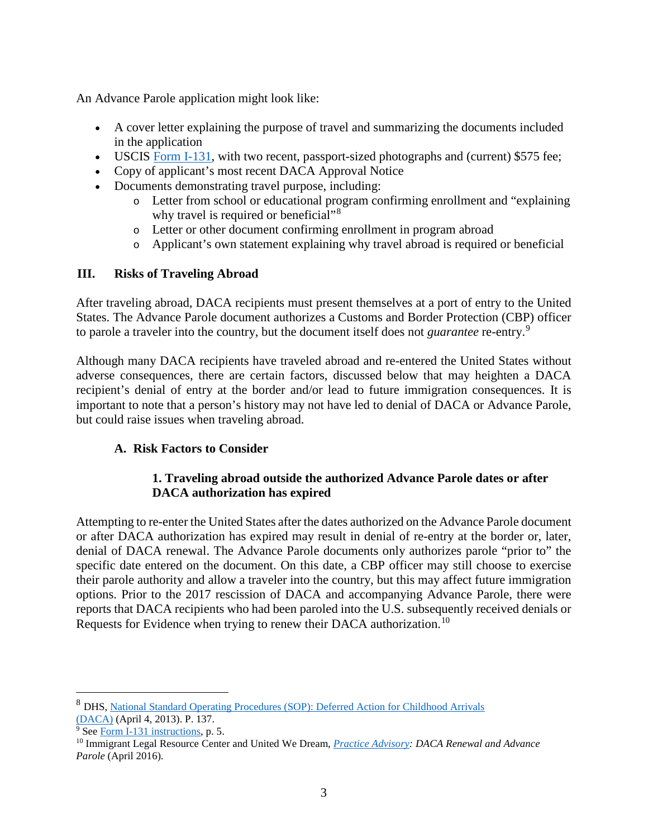An Advance Parole application might look like:

- A cover letter explaining the purpose of travel and summarizing the documents included in the application
- USCIS [Form I-131,](https://www.uscis.gov/i-131) with two recent, passport-sized photographs and (current) \$575 fee;
- Copy of applicant's most recent DACA Approval Notice
- Documents demonstrating travel purpose, including:
	- o Letter from school or educational program confirming enrollment and "explaining why travel is required or beneficial"<sup>[8](#page-2-2)</sup>
	- o Letter or other document confirming enrollment in program abroad
	- o Applicant's own statement explaining why travel abroad is required or beneficial

# <span id="page-2-0"></span>**III. Risks of Traveling Abroad**

After traveling abroad, DACA recipients must present themselves at a port of entry to the United States. The Advance Parole document authorizes a Customs and Border Protection (CBP) officer to parole a traveler into the country, but the document itself does not *guarantee* re-entry.[9](#page-2-3)

Although many DACA recipients have traveled abroad and re-entered the United States without adverse consequences, there are certain factors, discussed below that may heighten a DACA recipient's denial of entry at the border and/or lead to future immigration consequences. It is important to note that a person's history may not have led to denial of DACA or Advance Parole, but could raise issues when traveling abroad.

# <span id="page-2-1"></span>**A. Risk Factors to Consider**

## **1. Traveling abroad outside the authorized Advance Parole dates or after DACA authorization has expired**

Attempting to re-enter the United States after the dates authorized on the Advance Parole document or after DACA authorization has expired may result in denial of re-entry at the border or, later, denial of DACA renewal. The Advance Parole documents only authorizes parole "prior to" the specific date entered on the document. On this date, a CBP officer may still choose to exercise their parole authority and allow a traveler into the country, but this may affect future immigration options. Prior to the 2017 rescission of DACA and accompanying Advance Parole, there were reports that DACA recipients who had been paroled into the U.S. subsequently received denials or Requests for Evidence when trying to renew their DACA authorization.<sup>[10](#page-2-4)</sup>

<span id="page-2-2"></span> <sup>8</sup> DHS, [National Standard Operating Procedures \(SOP\): Deferred Action for Childhood Arrivals](https://www.aila.org/File/DownloadEmbeddedFile/57200) [\(DACA\)](https://www.aila.org/File/DownloadEmbeddedFile/57200) (April 4, 2013). P. 137.

<span id="page-2-3"></span><sup>&</sup>lt;sup>9</sup> Se[e Form I-131 instructions,](https://www.uscis.gov/sites/default/files/document/forms/i-131instr.pdf) p. 5.

<span id="page-2-4"></span><sup>10</sup> Immigrant Legal Resource Center and United We Dream, *[Practice Advisory:](https://www.ilrc.org/sites/default/files/resources/2016-04_ilrc-uwd_advisory_on_daca_renewal_and_ap.pdf) DACA Renewal and Advance Parole* (April 2016).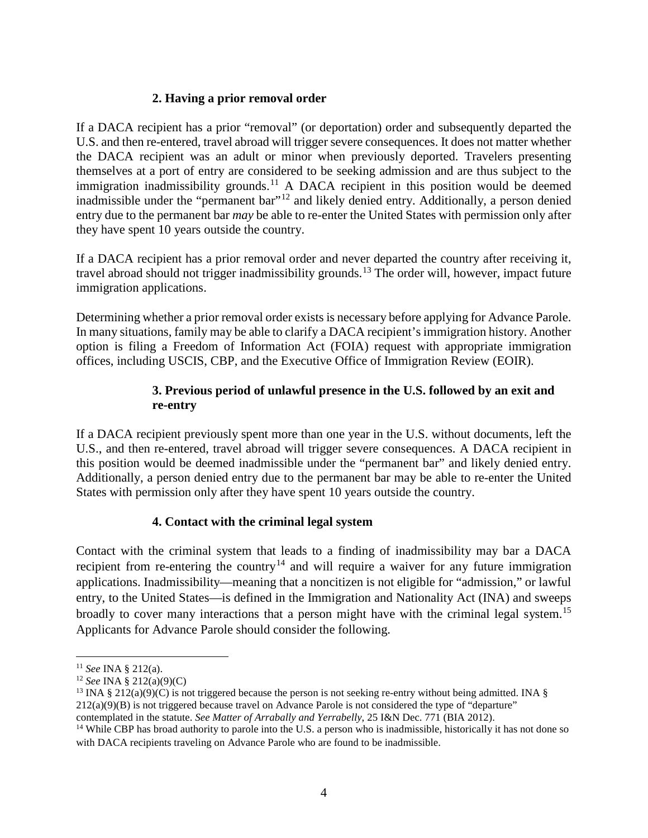# **2. Having a prior removal order**

If a DACA recipient has a prior "removal" (or deportation) order and subsequently departed the U.S. and then re-entered, travel abroad will trigger severe consequences. It does not matter whether the DACA recipient was an adult or minor when previously deported. Travelers presenting themselves at a port of entry are considered to be seeking admission and are thus subject to the immigration inadmissibility grounds.<sup>[11](#page-3-0)</sup> A DACA recipient in this position would be deemed inadmissible under the "permanent bar"[12](#page-3-1) and likely denied entry. Additionally, a person denied entry due to the permanent bar *may* be able to re-enter the United States with permission only after they have spent 10 years outside the country.

If a DACA recipient has a prior removal order and never departed the country after receiving it, travel abroad should not trigger inadmissibility grounds.[13](#page-3-2) The order will, however, impact future immigration applications.

Determining whether a prior removal order exists is necessary before applying for Advance Parole. In many situations, family may be able to clarify a DACA recipient's immigration history. Another option is filing a Freedom of Information Act (FOIA) request with appropriate immigration offices, including USCIS, CBP, and the Executive Office of Immigration Review (EOIR).

# **3. Previous period of unlawful presence in the U.S. followed by an exit and re-entry**

If a DACA recipient previously spent more than one year in the U.S. without documents, left the U.S., and then re-entered, travel abroad will trigger severe consequences. A DACA recipient in this position would be deemed inadmissible under the "permanent bar" and likely denied entry. Additionally, a person denied entry due to the permanent bar may be able to re-enter the United States with permission only after they have spent 10 years outside the country.

# **4. Contact with the criminal legal system**

Contact with the criminal system that leads to a finding of inadmissibility may bar a DACA recipient from re-entering the country<sup>[14](#page-3-3)</sup> and will require a waiver for any future immigration applications. Inadmissibility—meaning that a noncitizen is not eligible for "admission," or lawful entry, to the United States—is defined in the Immigration and Nationality Act (INA) and sweeps broadly to cover many interactions that a person might have with the criminal legal system.<sup>[15](#page-3-4)</sup> Applicants for Advance Parole should consider the following.

<span id="page-3-0"></span> <sup>11</sup> *See* INA § 212(a).

<span id="page-3-1"></span><sup>12</sup> *See* INA § 212(a)(9)(C)

<span id="page-3-2"></span><sup>&</sup>lt;sup>13</sup> INA § 212(a)(9)(C) is not triggered because the person is not seeking re-entry without being admitted. INA §  $212(a)(9)(B)$  is not triggered because travel on Advance Parole is not considered the type of "departure" contemplated in the statute. See Matter of Arrabally and Yerrabelly, 25 I&N Dec. 771 (BIA 2012).

<span id="page-3-4"></span><span id="page-3-3"></span><sup>&</sup>lt;sup>14</sup> While CBP has broad authority to parole into the U.S. a person who is inadmissible, historically it has not done so with DACA recipients traveling on Advance Parole who are found to be inadmissible.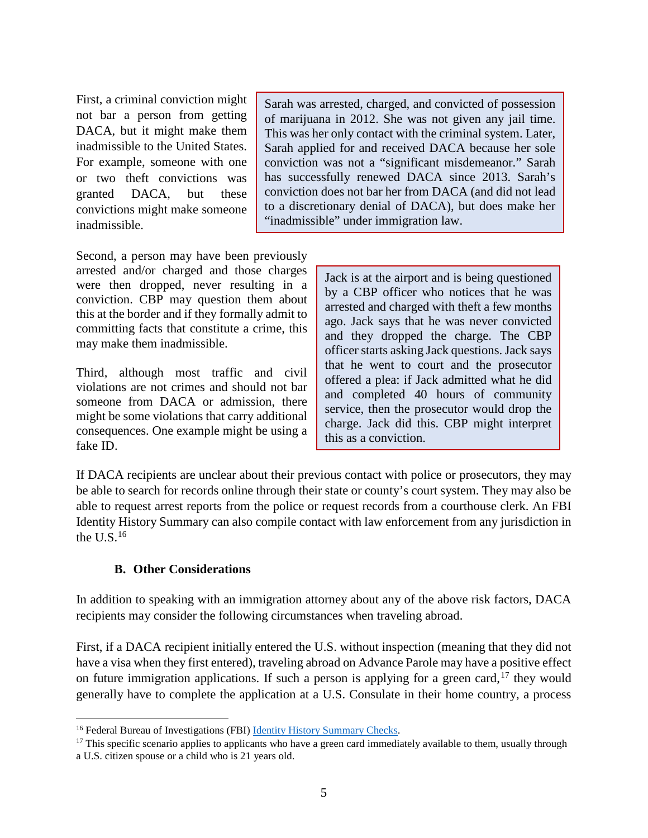First, a criminal conviction might not bar a person from getting DACA, but it might make them inadmissible to the United States. For example, someone with one or two theft convictions was granted DACA, but these convictions might make someone inadmissible.

Sarah was arrested, charged, and convicted of possession of marijuana in 2012. She was not given any jail time. This was her only contact with the criminal system. Later, Sarah applied for and received DACA because her sole conviction was not a "significant misdemeanor." Sarah has successfully renewed DACA since 2013. Sarah's conviction does not bar her from DACA (and did not lead to a discretionary denial of DACA), but does make her "inadmissible" under immigration law.

Second, a person may have been previously arrested and/or charged and those charges were then dropped, never resulting in a conviction. CBP may question them about this at the border and if they formally admit to committing facts that constitute a crime, this may make them inadmissible.

Third, although most traffic and civil violations are not crimes and should not bar someone from DACA or admission, there might be some violations that carry additional consequences. One example might be using a fake ID.

Jack is at the airport and is being questioned by a CBP officer who notices that he was arrested and charged with theft a few months ago. Jack says that he was never convicted and they dropped the charge. The CBP officer starts asking Jack questions. Jack says that he went to court and the prosecutor offered a plea: if Jack admitted what he did and completed 40 hours of community service, then the prosecutor would drop the charge. Jack did this. CBP might interpret this as a conviction.

If DACA recipients are unclear about their previous contact with police or prosecutors, they may be able to search for records online through their state or county's court system. They may also be able to request arrest reports from the police or request records from a courthouse clerk. An FBI Identity History Summary can also compile contact with law enforcement from any jurisdiction in the  $U.S.<sup>16</sup>$  $U.S.<sup>16</sup>$  $U.S.<sup>16</sup>$ 

## **B. Other Considerations**

<span id="page-4-0"></span>In addition to speaking with an immigration attorney about any of the above risk factors, DACA recipients may consider the following circumstances when traveling abroad.

First, if a DACA recipient initially entered the U.S. without inspection (meaning that they did not have a visa when they first entered), traveling abroad on Advance Parole may have a positive effect on future immigration applications. If such a person is applying for a green card,  $17$  they would generally have to complete the application at a U.S. Consulate in their home country, a process

<span id="page-4-1"></span><sup>&</sup>lt;sup>16</sup> Federal Bureau of Investigations (FBI) [Identity History Summary Checks.](https://www.fbi.gov/services/cjis/identity-history-summary-checks)

<span id="page-4-2"></span> $17$  This specific scenario applies to applicants who have a green card immediately available to them, usually through a U.S. citizen spouse or a child who is 21 years old.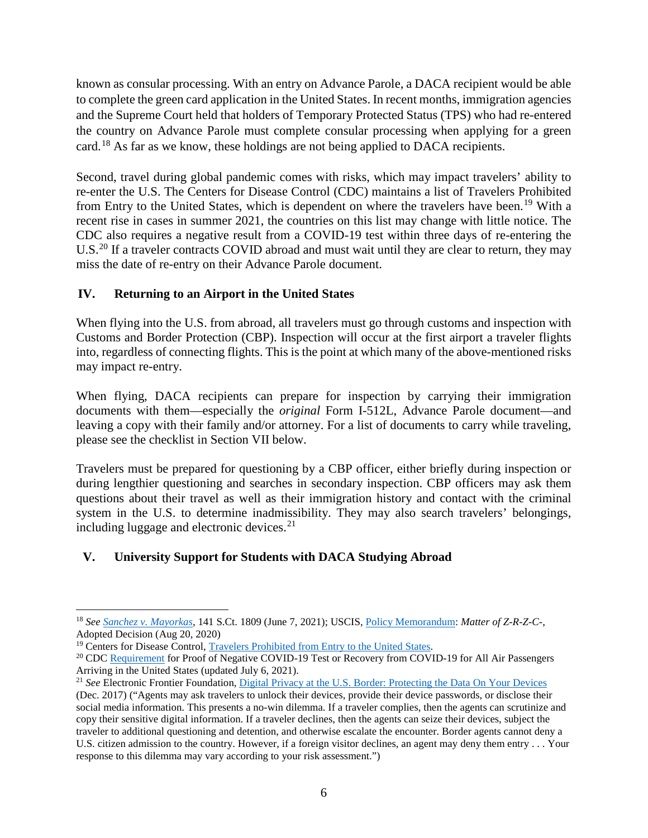known as consular processing. With an entry on Advance Parole, a DACA recipient would be able to complete the green card application in the United States. In recent months, immigration agencies and the Supreme Court held that holders of Temporary Protected Status (TPS) who had re-entered the country on Advance Parole must complete consular processing when applying for a green card.[18](#page-5-2) As far as we know, these holdings are not being applied to DACA recipients.

Second, travel during global pandemic comes with risks, which may impact travelers' ability to re-enter the U.S. The Centers for Disease Control (CDC) maintains a list of Travelers Prohibited from Entry to the United States, which is dependent on where the travelers have been.<sup>[19](#page-5-3)</sup> With a recent rise in cases in summer 2021, the countries on this list may change with little notice. The CDC also requires a negative result from a COVID-19 test within three days of re-entering the U.S.<sup>[20](#page-5-4)</sup> If a traveler contracts COVID abroad and must wait until they are clear to return, they may miss the date of re-entry on their Advance Parole document.

# <span id="page-5-0"></span>**IV. Returning to an Airport in the United States**

When flying into the U.S. from abroad, all travelers must go through customs and inspection with Customs and Border Protection (CBP). Inspection will occur at the first airport a traveler flights into, regardless of connecting flights. This is the point at which many of the above-mentioned risks may impact re-entry.

When flying, DACA recipients can prepare for inspection by carrying their immigration documents with them—especially the *original* Form I-512L, Advance Parole document—and leaving a copy with their family and/or attorney. For a list of documents to carry while traveling, please see the checklist in Section VII below.

Travelers must be prepared for questioning by a CBP officer, either briefly during inspection or during lengthier questioning and searches in secondary inspection. CBP officers may ask them questions about their travel as well as their immigration history and contact with the criminal system in the U.S. to determine inadmissibility. They may also search travelers' belongings, including luggage and electronic devices.<sup>[21](#page-5-5)</sup>

# <span id="page-5-1"></span>**V. University Support for Students with DACA Studying Abroad**

<span id="page-5-2"></span> <sup>18</sup> *See [Sanchez v. Mayorkas](https://www.supremecourt.gov/opinions/20pdf/20-315_q713.pdf)*, 141 S.Ct. 1809 (June 7, 2021); USCIS[, Policy Memorandum:](https://www.uscis.gov/sites/default/files/document/aao-decisions/Matter-of-Z-R-Z-C-Adopted-AAO-Decision.pdf) *Matter of Z-R-Z-C-*, Adopted Decision (Aug 20, 2020)

<span id="page-5-3"></span><sup>&</sup>lt;sup>19</sup> Centers for Disease Control, [Travelers Prohibited from Entry to the United States.](https://www.cdc.gov/coronavirus/2019-ncov/travelers/from-other-countries.html)

<span id="page-5-4"></span><sup>&</sup>lt;sup>20</sup> CDC [Requirement](https://www.cdc.gov/coronavirus/2019-ncov/travelers/testing-international-air-travelers.html) for Proof of Negative COVID-19 Test or Recovery from COVID-19 for All Air Passengers Arriving in the United States (updated July 6, 2021).

<span id="page-5-5"></span><sup>&</sup>lt;sup>21</sup> *See* Electronic Frontier Foundation, *Digital Privacy at the U.S. Border: Protecting the Data On Your Devices* (Dec. 2017) ("Agents may ask travelers to unlock their devices, provide their device passwords, or disclose their social media information. This presents a no-win dilemma. If a traveler complies, then the agents can scrutinize and copy their sensitive digital information. If a traveler declines, then the agents can seize their devices, subject the traveler to additional questioning and detention, and otherwise escalate the encounter. Border agents cannot deny a U.S. citizen admission to the country. However, if a foreign visitor declines, an agent may deny them entry . . . Your response to this dilemma may vary according to your risk assessment.")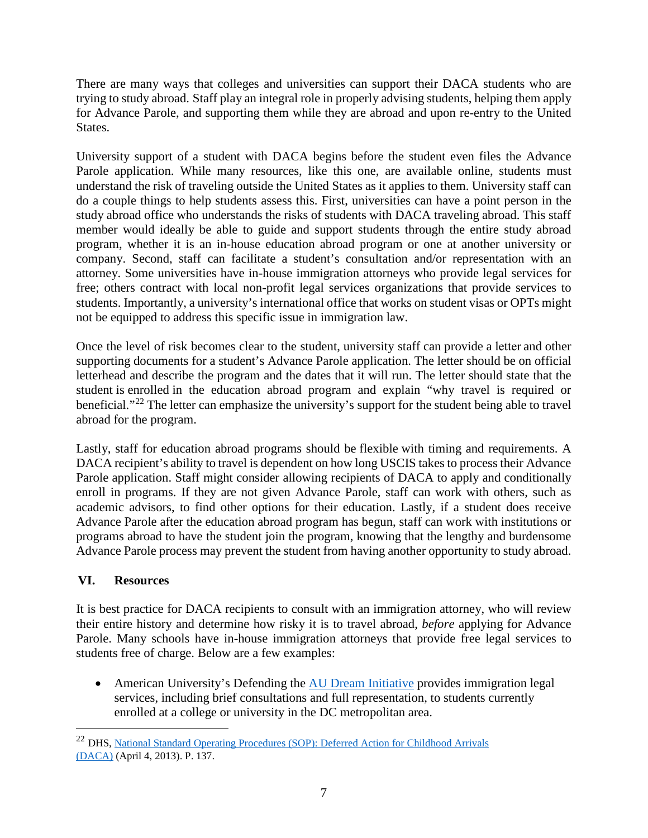There are many ways that colleges and universities can support their DACA students who are trying to study abroad. Staff play an integral role in properly advising students, helping them apply for Advance Parole, and supporting them while they are abroad and upon re-entry to the United States.

University support of a student with DACA begins before the student even files the Advance Parole application. While many resources, like this one, are available online, students must understand the risk of traveling outside the United States as it applies to them. University staff can do a couple things to help students assess this. First, universities can have a point person in the study abroad office who understands the risks of students with DACA traveling abroad. This staff member would ideally be able to guide and support students through the entire study abroad program, whether it is an in-house education abroad program or one at another university or company. Second, staff can facilitate a student's consultation and/or representation with an attorney. Some universities have in-house immigration attorneys who provide legal services for free; others contract with local non-profit legal services organizations that provide services to students. Importantly, a university's international office that works on student visas or OPTs might not be equipped to address this specific issue in immigration law.

Once the level of risk becomes clear to the student, university staff can provide a letter and other supporting documents for a student's Advance Parole application. The letter should be on official letterhead and describe the program and the dates that it will run. The letter should state that the student is enrolled in the education abroad program and explain "why travel is required or beneficial."[22](#page-6-1) The letter can emphasize the university's support for the student being able to travel abroad for the program.

Lastly, staff for education abroad programs should be flexible with timing and requirements. A DACA recipient's ability to travel is dependent on how long USCIS takes to process their Advance Parole application. Staff might consider allowing recipients of DACA to apply and conditionally enroll in programs. If they are not given Advance Parole, staff can work with others, such as academic advisors, to find other options for their education. Lastly, if a student does receive Advance Parole after the education abroad program has begun, staff can work with institutions or programs abroad to have the student join the program, knowing that the lengthy and burdensome Advance Parole process may prevent the student from having another opportunity to study abroad.

# <span id="page-6-0"></span>**VI. Resources**

It is best practice for DACA recipients to consult with an immigration attorney, who will review their entire history and determine how risky it is to travel abroad, *before* applying for Advance Parole. Many schools have in-house immigration attorneys that provide free legal services to students free of charge. Below are a few examples:

• American University's Defending the [AU Dream Initiative](https://www.wcl.american.edu/academics/experientialedu/clinical/theclinics/ijc/audream/) provides immigration legal services, including brief consultations and full representation, to students currently enrolled at a college or university in the DC metropolitan area.

<span id="page-6-1"></span> <sup>22</sup> DHS, [National Standard Operating Procedures \(SOP\): Deferred Action for Childhood Arrivals](https://www.aila.org/File/DownloadEmbeddedFile/57200) [\(DACA\)](https://www.aila.org/File/DownloadEmbeddedFile/57200) (April 4, 2013). P. 137.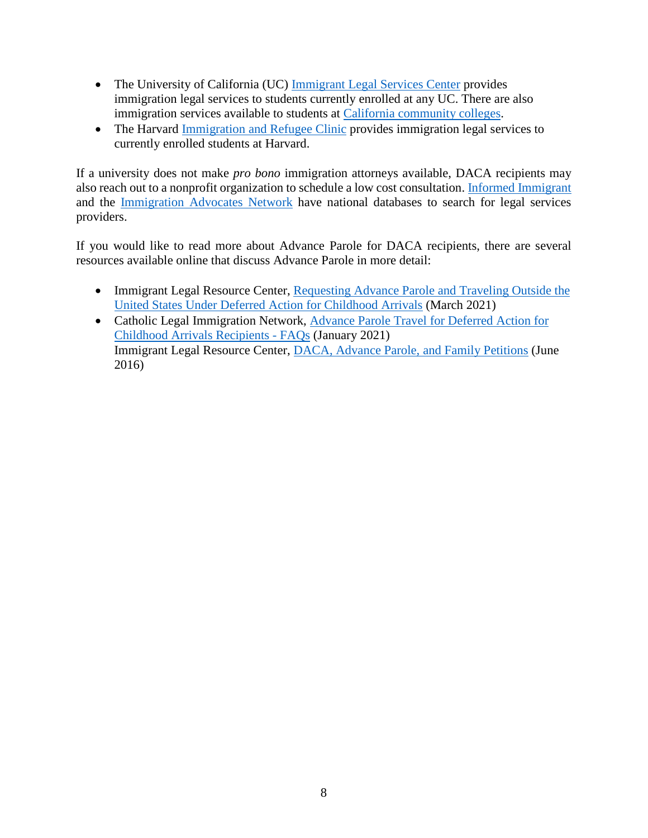- The University of California (UC) [Immigrant Legal Services Center](https://law.ucdavis.edu/ucimm/) provides immigration legal services to students currently enrolled at any UC. There are also immigration services available to students at [California community colleges.](https://www.cccco.edu/Students/Support-Services/Special-population/Undocumented-Students/Legal-Services/legal-service-providers)
- The Harvard [Immigration and Refugee Clinic](https://hls.harvard.edu/dept/clinical/clinics/harvard-immigration-and-refugee-clinical-program/) provides immigration legal services to currently enrolled students at Harvard.

If a university does not make *pro bono* immigration attorneys available, DACA recipients may also reach out to a nonprofit organization to schedule a low cost consultation. [Informed Immigrant](https://www.informedimmigrant.com/help/) and the [Immigration Advocates Network](https://www.immigrationadvocates.org/) have national databases to search for legal services providers.

If you would like to read more about Advance Parole for DACA recipients, there are several resources available online that discuss Advance Parole in more detail:

- Immigrant Legal Resource Center, Requesting Advance Parole and Traveling Outside the [United States Under Deferred Action for Childhood Arrivals](https://www.ilrc.org/sites/default/files/resources/daca_advance_parole_pa_3.21.pdf) (March 2021)
- Catholic Legal Immigration Network, [Advance Parole Travel for Deferred Action for](https://cliniclegal.org/resources/humanitarian-relief/deferred-action-childhood-arrivals/advance-parole-faqs)  [Childhood Arrivals Recipients -](https://cliniclegal.org/resources/humanitarian-relief/deferred-action-childhood-arrivals/advance-parole-faqs) FAQs (January 2021) Immigrant Legal Resource Center, [DACA, Advance Parole, and Family Petitions](https://www.ilrc.org/sites/default/files/resources/prac_adv-daca_advance_parole_fam_pet-20160531.pdf) (June 2016)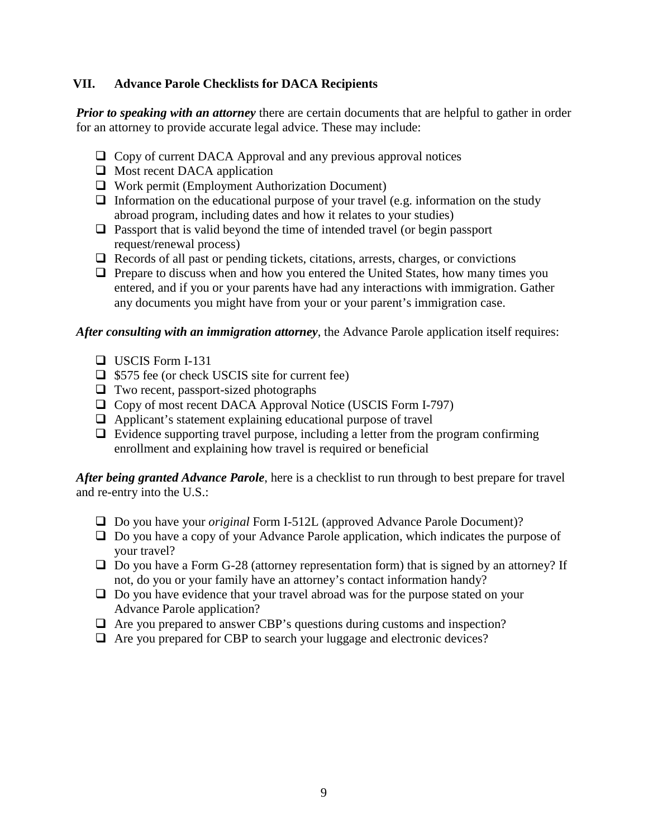## <span id="page-8-0"></span>**VII. Advance Parole Checklists for DACA Recipients**

*Prior to speaking with an attorney* there are certain documents that are helpful to gather in order for an attorney to provide accurate legal advice. These may include:

- □ Copy of current DACA Approval and any previous approval notices
- $\Box$  Most recent DACA application
- $\Box$  Work permit (Employment Authorization Document)
- $\Box$  Information on the educational purpose of your travel (e.g. information on the study abroad program, including dates and how it relates to your studies)
- $\Box$  Passport that is valid beyond the time of intended travel (or begin passport request/renewal process)
- $\Box$  Records of all past or pending tickets, citations, arrests, charges, or convictions
- $\Box$  Prepare to discuss when and how you entered the United States, how many times you entered, and if you or your parents have had any interactions with immigration. Gather any documents you might have from your or your parent's immigration case.

*After consulting with an immigration attorney*, the Advance Parole application itself requires:

- $\Box$  USCIS Form I-131
- $\Box$  \$575 fee (or check USCIS site for current fee)
- $\Box$  Two recent, passport-sized photographs
- □ Copy of most recent DACA Approval Notice (USCIS Form I-797)
- $\Box$  Applicant's statement explaining educational purpose of travel
- $\Box$  Evidence supporting travel purpose, including a letter from the program confirming enrollment and explaining how travel is required or beneficial

*After being granted Advance Parole*, here is a checklist to run through to best prepare for travel and re-entry into the U.S.:

- □ Do you have your *original* Form I-512L (approved Advance Parole Document)?
- $\Box$  Do you have a copy of your Advance Parole application, which indicates the purpose of your travel?
- $\Box$  Do you have a Form G-28 (attorney representation form) that is signed by an attorney? If not, do you or your family have an attorney's contact information handy?
- $\Box$  Do you have evidence that your travel abroad was for the purpose stated on your Advance Parole application?
- $\Box$  Are you prepared to answer CBP's questions during customs and inspection?
- $\Box$  Are you prepared for CBP to search your luggage and electronic devices?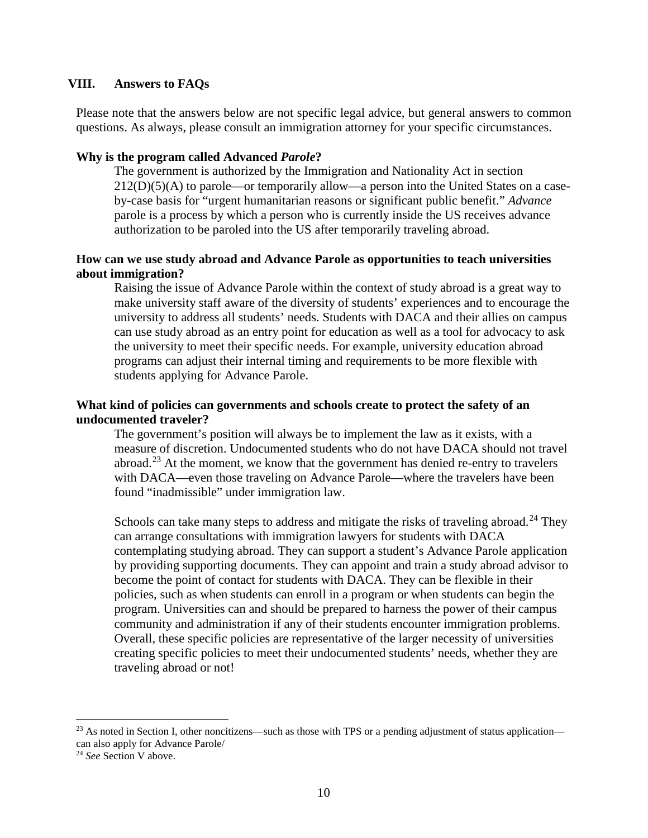#### <span id="page-9-0"></span>**VIII. Answers to FAQs**

Please note that the answers below are not specific legal advice, but general answers to common questions. As always, please consult an immigration attorney for your specific circumstances.

#### **Why is the program called Advanced** *Parole***?**

The government is authorized by the Immigration and Nationality Act in section 212(D)(5)(A) to parole—or temporarily allow—a person into the United States on a caseby-case basis for "urgent humanitarian reasons or significant public benefit." *Advance* parole is a process by which a person who is currently inside the US receives advance authorization to be paroled into the US after temporarily traveling abroad.

### **How can we use study abroad and Advance Parole as opportunities to teach universities about immigration?**

Raising the issue of Advance Parole within the context of study abroad is a great way to make university staff aware of the diversity of students' experiences and to encourage the university to address all students' needs. Students with DACA and their allies on campus can use study abroad as an entry point for education as well as a tool for advocacy to ask the university to meet their specific needs. For example, university education abroad programs can adjust their internal timing and requirements to be more flexible with students applying for Advance Parole.

### **What kind of policies can governments and schools create to protect the safety of an undocumented traveler?**

The government's position will always be to implement the law as it exists, with a measure of discretion. Undocumented students who do not have DACA should not travel abroad.<sup>[23](#page-9-1)</sup> At the moment, we know that the government has denied re-entry to travelers with DACA—even those traveling on Advance Parole—where the travelers have been found "inadmissible" under immigration law.

Schools can take many steps to address and mitigate the risks of traveling abroad.<sup>[24](#page-9-2)</sup> They can arrange consultations with immigration lawyers for students with DACA contemplating studying abroad. They can support a student's Advance Parole application by providing supporting documents. They can appoint and train a study abroad advisor to become the point of contact for students with DACA. They can be flexible in their policies, such as when students can enroll in a program or when students can begin the program. Universities can and should be prepared to harness the power of their campus community and administration if any of their students encounter immigration problems. Overall, these specific policies are representative of the larger necessity of universities creating specific policies to meet their undocumented students' needs, whether they are traveling abroad or not!

<span id="page-9-1"></span> $^{23}$  As noted in Section I, other noncitizens—such as those with TPS or a pending adjustment of status application can also apply for Advance Parole/

<span id="page-9-2"></span><sup>&</sup>lt;sup>24</sup> *See* Section V above.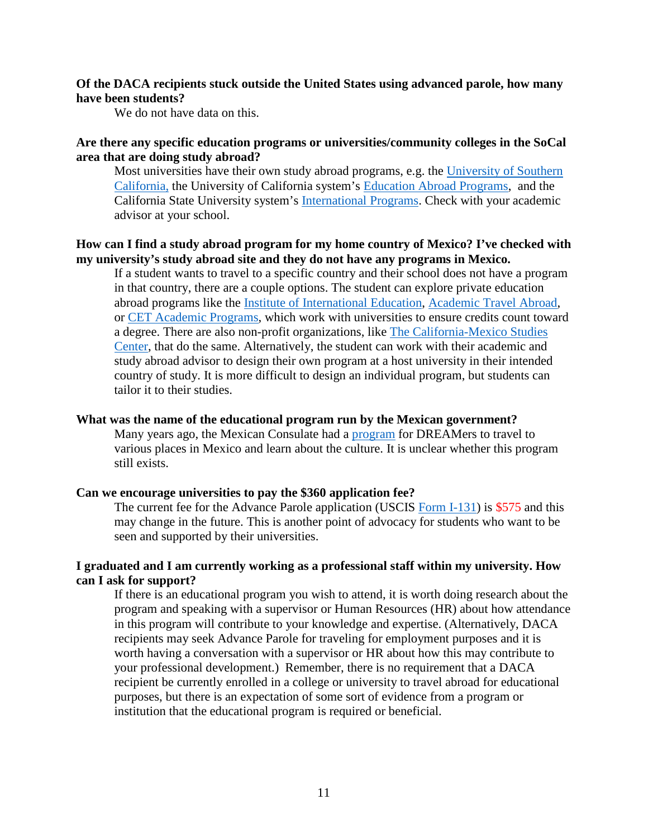### **Of the DACA recipients stuck outside the United States using advanced parole, how many have been students?**

We do not have data on this.

## **Are there any specific education programs or universities/community colleges in the SoCal area that are doing study abroad?**

Most universities have their own study abroad programs, e.g. the University of Southern [California,](https://undergrad.usc.edu/experience/global/) the University of California system's [Education Abroad Programs,](https://uceap.universityofcalifornia.edu/) and the California State University system's [International Programs.](https://csuip.calstate.edu/index.cfm?FuseAction=Abroad.Home) Check with your academic advisor at your school.

## **How can I find a study abroad program for my home country of Mexico? I've checked with my university's study abroad site and they do not have any programs in Mexico.**

If a student wants to travel to a specific country and their school does not have a program in that country, there are a couple options. The student can explore private education abroad programs like the [Institute of International Education,](https://iiepassport.org/) [Academic Travel Abroad,](https://academic-travel.com/our-work/destinations/) or [CET Academic Programs,](https://cetacademicprograms.com/) which work with universities to ensure credits count toward a degree. There are also non-profit organizations, like [The California-Mexico Studies](https://www.california-mexicocenter.org/)  [Center,](https://www.california-mexicocenter.org/) that do the same. Alternatively, the student can work with their academic and study abroad advisor to design their own program at a host university in their intended country of study. It is more difficult to design an individual program, but students can tailor it to their studies.

#### **What was the name of the educational program run by the Mexican government?**

Many years ago, the Mexican Consulate had a [program](https://www.elminnesotadehoy.com/desde-minnesota-tres-dreamers-visitan-mexico/) for DREAMers to travel to various places in Mexico and learn about the culture. It is unclear whether this program still exists.

### **Can we encourage universities to pay the \$360 application fee?**

The current fee for the Advance Parole application (USCIS [Form I-131\)](https://www.uscis.gov/i-131) is \$575 and this may change in the future. This is another point of advocacy for students who want to be seen and supported by their universities.

### **I graduated and I am currently working as a professional staff within my university. How can I ask for support?**

If there is an educational program you wish to attend, it is worth doing research about the program and speaking with a supervisor or Human Resources (HR) about how attendance in this program will contribute to your knowledge and expertise. (Alternatively, DACA recipients may seek Advance Parole for traveling for employment purposes and it is worth having a conversation with a supervisor or HR about how this may contribute to your professional development.) Remember, there is no requirement that a DACA recipient be currently enrolled in a college or university to travel abroad for educational purposes, but there is an expectation of some sort of evidence from a program or institution that the educational program is required or beneficial.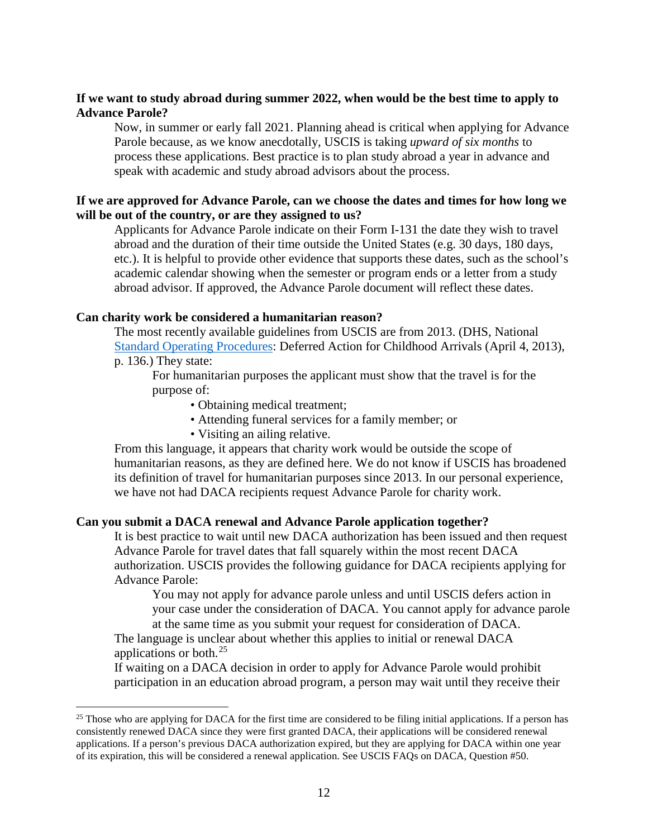## **If we want to study abroad during summer 2022, when would be the best time to apply to Advance Parole?**

Now, in summer or early fall 2021. Planning ahead is critical when applying for Advance Parole because, as we know anecdotally, USCIS is taking *upward of six months* to process these applications. Best practice is to plan study abroad a year in advance and speak with academic and study abroad advisors about the process.

### **If we are approved for Advance Parole, can we choose the dates and times for how long we will be out of the country, or are they assigned to us?**

Applicants for Advance Parole indicate on their Form I-131 the date they wish to travel abroad and the duration of their time outside the United States (e.g. 30 days, 180 days, etc.). It is helpful to provide other evidence that supports these dates, such as the school's academic calendar showing when the semester or program ends or a letter from a study abroad advisor. If approved, the Advance Parole document will reflect these dates.

### **Can charity work be considered a humanitarian reason?**

The most recently available guidelines from USCIS are from 2013. (DHS, National [Standard Operating Procedures:](https://www.aila.org/File/DownloadEmbeddedFile/57200) Deferred Action for Childhood Arrivals (April 4, 2013), p. 136.) They state:

For humanitarian purposes the applicant must show that the travel is for the purpose of:

- Obtaining medical treatment;
- Attending funeral services for a family member; or
- Visiting an ailing relative.

From this language, it appears that charity work would be outside the scope of humanitarian reasons, as they are defined here. We do not know if USCIS has broadened its definition of travel for humanitarian purposes since 2013. In our personal experience, we have not had DACA recipients request Advance Parole for charity work.

#### **Can you submit a DACA renewal and Advance Parole application together?**

It is best practice to wait until new DACA authorization has been issued and then request Advance Parole for travel dates that fall squarely within the most recent DACA authorization. USCIS provides the following guidance for DACA recipients applying for Advance Parole:

You may not apply for advance parole unless and until USCIS defers action in your case under the consideration of DACA. You cannot apply for advance parole at the same time as you submit your request for consideration of DACA.

The language is unclear about whether this applies to initial or renewal DACA applications or both. $^{25}$  $^{25}$  $^{25}$ 

If waiting on a DACA decision in order to apply for Advance Parole would prohibit participation in an education abroad program, a person may wait until they receive their

<span id="page-11-0"></span> $25$  Those who are applying for DACA for the first time are considered to be filing initial applications. If a person has consistently renewed DACA since they were first granted DACA, their applications will be considered renewal applications. If a person's previous DACA authorization expired, but they are applying for DACA within one year of its expiration, this will be considered a renewal application. See USCIS FAQs on DACA, Question #50.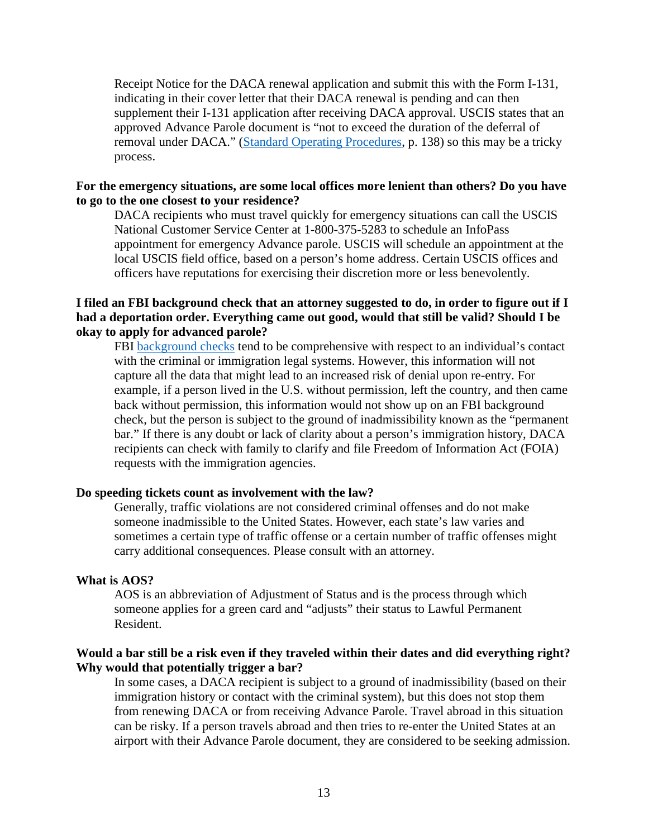Receipt Notice for the DACA renewal application and submit this with the Form I-131, indicating in their cover letter that their DACA renewal is pending and can then supplement their I-131 application after receiving DACA approval. USCIS states that an approved Advance Parole document is "not to exceed the duration of the deferral of removal under DACA." [\(Standard Operating Procedures,](https://www.aila.org/File/DownloadEmbeddedFile/57200) p. 138) so this may be a tricky process.

#### **For the emergency situations, are some local offices more lenient than others? Do you have to go to the one closest to your residence?**

DACA recipients who must travel quickly for emergency situations can call the USCIS National Customer Service Center at 1-800-375-5283 to schedule an InfoPass appointment for emergency Advance parole. USCIS will schedule an appointment at the local USCIS field office, based on a person's home address. Certain USCIS offices and officers have reputations for exercising their discretion more or less benevolently.

## **I filed an FBI background check that an attorney suggested to do, in order to figure out if I had a deportation order. Everything came out good, would that still be valid? Should I be okay to apply for advanced parole?**

FBI [background checks](https://www.fbi.gov/services/cjis/identity-history-summary-checks) tend to be comprehensive with respect to an individual's contact with the criminal or immigration legal systems. However, this information will not capture all the data that might lead to an increased risk of denial upon re-entry. For example, if a person lived in the U.S. without permission, left the country, and then came back without permission, this information would not show up on an FBI background check, but the person is subject to the ground of inadmissibility known as the "permanent bar." If there is any doubt or lack of clarity about a person's immigration history, DACA recipients can check with family to clarify and file Freedom of Information Act (FOIA) requests with the immigration agencies.

#### **Do speeding tickets count as involvement with the law?**

Generally, traffic violations are not considered criminal offenses and do not make someone inadmissible to the United States. However, each state's law varies and sometimes a certain type of traffic offense or a certain number of traffic offenses might carry additional consequences. Please consult with an attorney.

#### **What is AOS?**

AOS is an abbreviation of Adjustment of Status and is the process through which someone applies for a green card and "adjusts" their status to Lawful Permanent Resident.

## **Would a bar still be a risk even if they traveled within their dates and did everything right? Why would that potentially trigger a bar?**

In some cases, a DACA recipient is subject to a ground of inadmissibility (based on their immigration history or contact with the criminal system), but this does not stop them from renewing DACA or from receiving Advance Parole. Travel abroad in this situation can be risky. If a person travels abroad and then tries to re-enter the United States at an airport with their Advance Parole document, they are considered to be seeking admission.